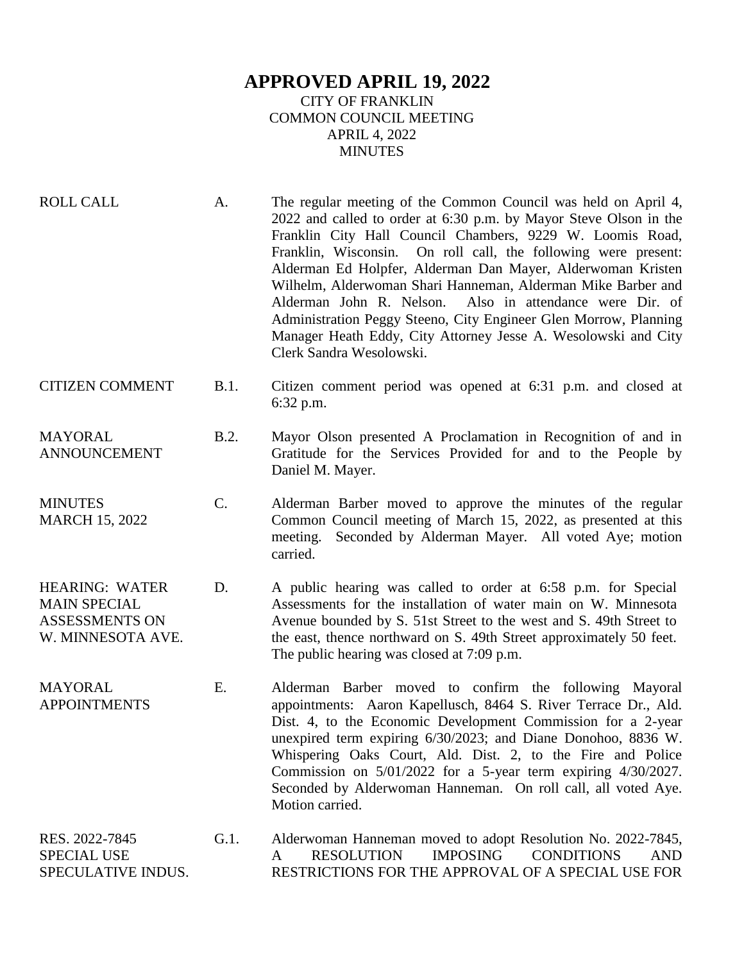## **APPROVED APRIL 19, 2022** CITY OF FRANKLIN COMMON COUNCIL MEETING APRIL 4, 2022 MINUTES

| <b>ROLL CALL</b>                                                                           | A.   | The regular meeting of the Common Council was held on April 4,<br>2022 and called to order at 6:30 p.m. by Mayor Steve Olson in the<br>Franklin City Hall Council Chambers, 9229 W. Loomis Road,<br>Franklin, Wisconsin. On roll call, the following were present:<br>Alderman Ed Holpfer, Alderman Dan Mayer, Alderwoman Kristen<br>Wilhelm, Alderwoman Shari Hanneman, Alderman Mike Barber and<br>Also in attendance were Dir. of<br>Alderman John R. Nelson.<br>Administration Peggy Steeno, City Engineer Glen Morrow, Planning<br>Manager Heath Eddy, City Attorney Jesse A. Wesolowski and City<br>Clerk Sandra Wesolowski. |
|--------------------------------------------------------------------------------------------|------|------------------------------------------------------------------------------------------------------------------------------------------------------------------------------------------------------------------------------------------------------------------------------------------------------------------------------------------------------------------------------------------------------------------------------------------------------------------------------------------------------------------------------------------------------------------------------------------------------------------------------------|
| <b>CITIZEN COMMENT</b>                                                                     | B.1. | Citizen comment period was opened at 6:31 p.m. and closed at<br>$6:32$ p.m.                                                                                                                                                                                                                                                                                                                                                                                                                                                                                                                                                        |
| <b>MAYORAL</b><br><b>ANNOUNCEMENT</b>                                                      | B.2. | Mayor Olson presented A Proclamation in Recognition of and in<br>Gratitude for the Services Provided for and to the People by<br>Daniel M. Mayer.                                                                                                                                                                                                                                                                                                                                                                                                                                                                                  |
| <b>MINUTES</b><br><b>MARCH 15, 2022</b>                                                    | C.   | Alderman Barber moved to approve the minutes of the regular<br>Common Council meeting of March 15, 2022, as presented at this<br>meeting. Seconded by Alderman Mayer. All voted Aye; motion<br>carried.                                                                                                                                                                                                                                                                                                                                                                                                                            |
| <b>HEARING: WATER</b><br><b>MAIN SPECIAL</b><br><b>ASSESSMENTS ON</b><br>W. MINNESOTA AVE. | D.   | A public hearing was called to order at 6:58 p.m. for Special<br>Assessments for the installation of water main on W. Minnesota<br>Avenue bounded by S. 51st Street to the west and S. 49th Street to<br>the east, thence northward on S. 49th Street approximately 50 feet.<br>The public hearing was closed at 7:09 p.m.                                                                                                                                                                                                                                                                                                         |
| <b>MAYORAL</b><br><b>APPOINTMENTS</b>                                                      | E.   | Alderman Barber moved to confirm the following Mayoral<br>appointments: Aaron Kapellusch, 8464 S. River Terrace Dr., Ald.<br>Dist. 4, to the Economic Development Commission for a 2-year<br>unexpired term expiring 6/30/2023; and Diane Donohoo, 8836 W.<br>Whispering Oaks Court, Ald. Dist. 2, to the Fire and Police<br>Commission on $5/01/2022$ for a 5-year term expiring $4/30/2027$ .<br>Seconded by Alderwoman Hanneman. On roll call, all voted Aye.<br>Motion carried.                                                                                                                                                |
| RES. 2022-7845                                                                             | G.1. | Alderwoman Hanneman moved to adopt Resolution No. 2022-7845,                                                                                                                                                                                                                                                                                                                                                                                                                                                                                                                                                                       |

SPECIAL USE SPECULATIVE INDUS. A RESOLUTION IMPOSING CONDITIONS AND RESTRICTIONS FOR THE APPROVAL OF A SPECIAL USE FOR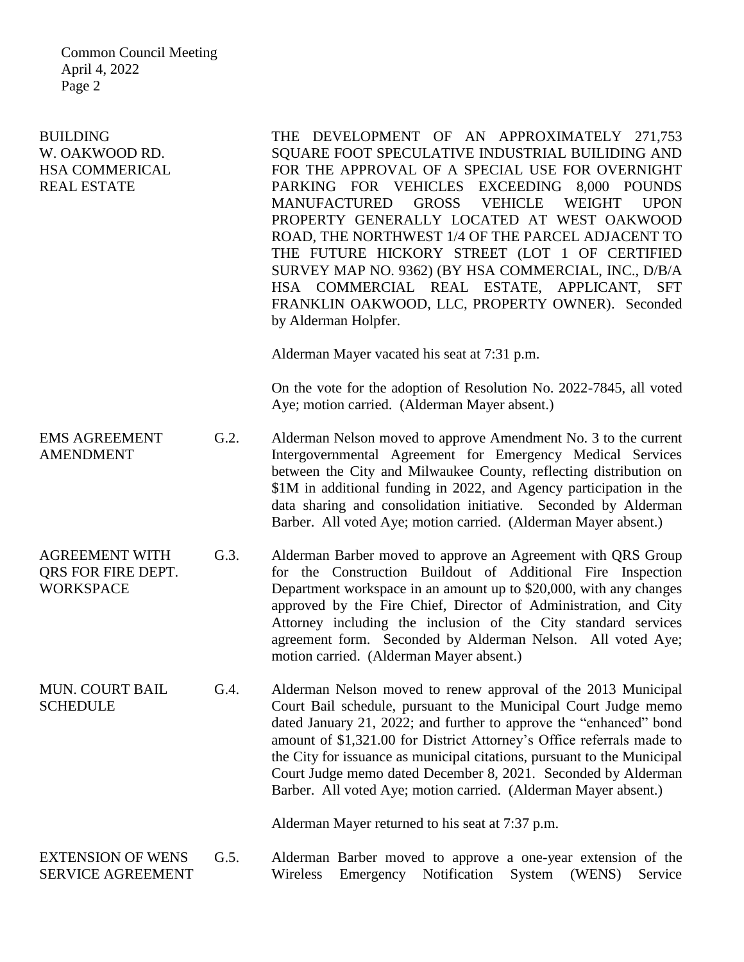Common Council Meeting April 4, 2022 Page 2

| <b>BUILDING</b><br>W. OAKWOOD RD.<br><b>HSA COMMERICAL</b><br><b>REAL ESTATE</b> |      | THE DEVELOPMENT OF AN APPROXIMATELY 271,753<br>SQUARE FOOT SPECULATIVE INDUSTRIAL BUILIDING AND<br>FOR THE APPROVAL OF A SPECIAL USE FOR OVERNIGHT<br>PARKING FOR VEHICLES EXCEEDING 8,000 POUNDS<br><b>MANUFACTURED</b><br><b>GROSS</b><br><b>VEHICLE</b><br><b>WEIGHT</b><br><b>UPON</b><br>PROPERTY GENERALLY LOCATED AT WEST OAKWOOD<br>ROAD, THE NORTHWEST 1/4 OF THE PARCEL ADJACENT TO<br>THE FUTURE HICKORY STREET (LOT 1 OF CERTIFIED<br>SURVEY MAP NO. 9362) (BY HSA COMMERCIAL, INC., D/B/A<br>HSA COMMERCIAL REAL ESTATE, APPLICANT, SFT<br>FRANKLIN OAKWOOD, LLC, PROPERTY OWNER). Seconded<br>by Alderman Holpfer.<br>Alderman Mayer vacated his seat at 7:31 p.m. |
|----------------------------------------------------------------------------------|------|----------------------------------------------------------------------------------------------------------------------------------------------------------------------------------------------------------------------------------------------------------------------------------------------------------------------------------------------------------------------------------------------------------------------------------------------------------------------------------------------------------------------------------------------------------------------------------------------------------------------------------------------------------------------------------|
|                                                                                  |      | On the vote for the adoption of Resolution No. 2022-7845, all voted<br>Aye; motion carried. (Alderman Mayer absent.)                                                                                                                                                                                                                                                                                                                                                                                                                                                                                                                                                             |
| <b>EMS AGREEMENT</b><br><b>AMENDMENT</b>                                         | G.2. | Alderman Nelson moved to approve Amendment No. 3 to the current<br>Intergovernmental Agreement for Emergency Medical Services<br>between the City and Milwaukee County, reflecting distribution on<br>\$1M in additional funding in 2022, and Agency participation in the<br>data sharing and consolidation initiative. Seconded by Alderman<br>Barber. All voted Aye; motion carried. (Alderman Mayer absent.)                                                                                                                                                                                                                                                                  |
| <b>AGREEMENT WITH</b><br><b>QRS FOR FIRE DEPT.</b><br><b>WORKSPACE</b>           | G.3. | Alderman Barber moved to approve an Agreement with QRS Group<br>for the Construction Buildout of Additional Fire Inspection<br>Department workspace in an amount up to \$20,000, with any changes<br>approved by the Fire Chief, Director of Administration, and City<br>Attorney including the inclusion of the City standard services<br>agreement form. Seconded by Alderman Nelson. All voted Aye;<br>motion carried. (Alderman Mayer absent.)                                                                                                                                                                                                                               |
| <b>MUN. COURT BAIL</b><br><b>SCHEDULE</b>                                        | G.4. | Alderman Nelson moved to renew approval of the 2013 Municipal<br>Court Bail schedule, pursuant to the Municipal Court Judge memo<br>dated January 21, 2022; and further to approve the "enhanced" bond<br>amount of \$1,321.00 for District Attorney's Office referrals made to<br>the City for issuance as municipal citations, pursuant to the Municipal<br>Court Judge memo dated December 8, 2021. Seconded by Alderman<br>Barber. All voted Aye; motion carried. (Alderman Mayer absent.)                                                                                                                                                                                   |
|                                                                                  |      | Alderman Mayer returned to his seat at 7:37 p.m.                                                                                                                                                                                                                                                                                                                                                                                                                                                                                                                                                                                                                                 |
| <b>EXTENSION OF WENS</b><br><b>SERVICE AGREEMENT</b>                             | G.5. | Alderman Barber moved to approve a one-year extension of the<br>Notification<br>Wireless<br>Emergency<br>System<br>(WENS)<br>Service                                                                                                                                                                                                                                                                                                                                                                                                                                                                                                                                             |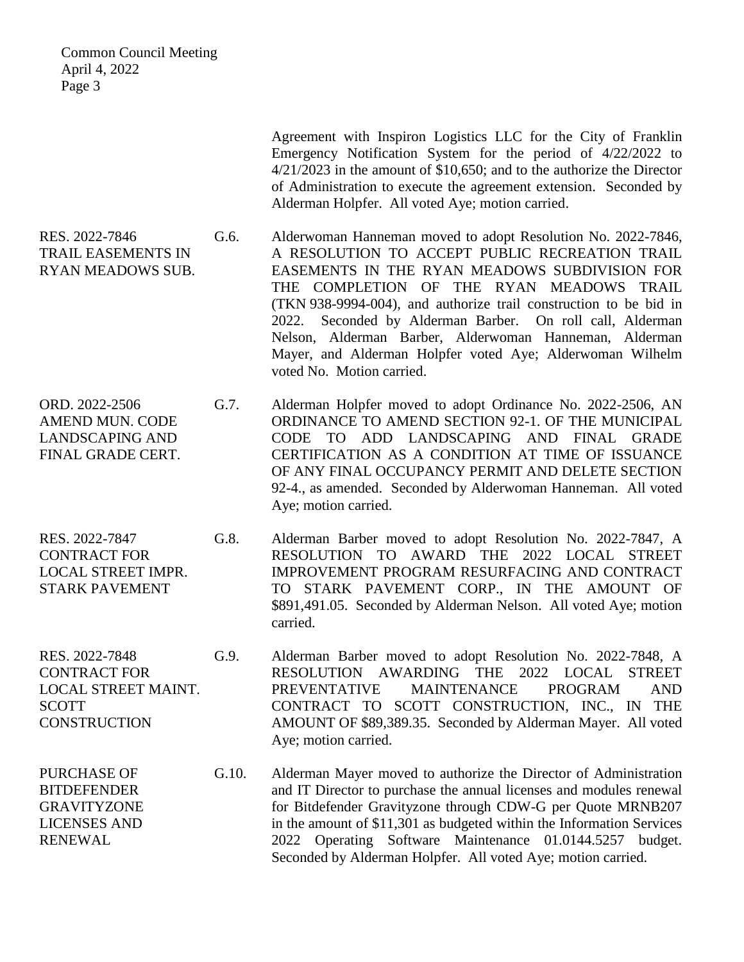Common Council Meeting April 4, 2022 Page 3 Agreement with Inspiron Logistics LLC for the City of Franklin Emergency Notification System for the period of 4/22/2022 to 4/21/2023 in the amount of \$10,650; and to the authorize the Director of Administration to execute the agreement extension. Seconded by Alderman Holpfer. All voted Aye; motion carried. RES. 2022-7846 TRAIL EASEMENTS IN RYAN MEADOWS SUB. G.6. Alderwoman Hanneman moved to adopt Resolution No. 2022-7846, A RESOLUTION TO ACCEPT PUBLIC RECREATION TRAIL EASEMENTS IN THE RYAN MEADOWS SUBDIVISION FOR THE COMPLETION OF THE RYAN MEADOWS TRAIL (TKN 938-9994-004), and authorize trail construction to be bid in 2022. Seconded by Alderman Barber. On roll call, Alderman Nelson, Alderman Barber, Alderwoman Hanneman, Alderman Mayer, and Alderman Holpfer voted Aye; Alderwoman Wilhelm voted No. Motion carried. ORD. 2022-2506 AMEND MUN. CODE LANDSCAPING AND FINAL GRADE CERT. G.7. Alderman Holpfer moved to adopt Ordinance No. 2022-2506, AN ORDINANCE TO AMEND SECTION 92-1. OF THE MUNICIPAL CODE TO ADD LANDSCAPING AND FINAL GRADE CERTIFICATION AS A CONDITION AT TIME OF ISSUANCE OF ANY FINAL OCCUPANCY PERMIT AND DELETE SECTION 92-4., as amended. Seconded by Alderwoman Hanneman. All voted Aye; motion carried. RES. 2022-7847 CONTRACT FOR LOCAL STREET IMPR. STARK PAVEMENT G.8. Alderman Barber moved to adopt Resolution No. 2022-7847, A RESOLUTION TO AWARD THE 2022 LOCAL STREET IMPROVEMENT PROGRAM RESURFACING AND CONTRACT TO STARK PAVEMENT CORP., IN THE AMOUNT OF \$891,491.05. Seconded by Alderman Nelson. All voted Aye; motion carried. RES. 2022-7848 CONTRACT FOR LOCAL STREET MAINT. SCOTT **CONSTRUCTION** G.9. Alderman Barber moved to adopt Resolution No. 2022-7848, A RESOLUTION AWARDING THE 2022 LOCAL STREET PREVENTATIVE MAINTENANCE PROGRAM AND CONTRACT TO SCOTT CONSTRUCTION, INC., IN THE AMOUNT OF \$89,389.35. Seconded by Alderman Mayer. All voted Aye; motion carried. PURCHASE OF **BITDEFENDER** GRAVITYZONE LICENSES AND G.10. Alderman Mayer moved to authorize the Director of Administration and IT Director to purchase the annual licenses and modules renewal for Bitdefender Gravityzone through CDW-G per Quote MRNB207 in the amount of \$11,301 as budgeted within the Information Services

> 2022 Operating Software Maintenance 01.0144.5257 budget. Seconded by Alderman Holpfer. All voted Aye; motion carried.

RENEWAL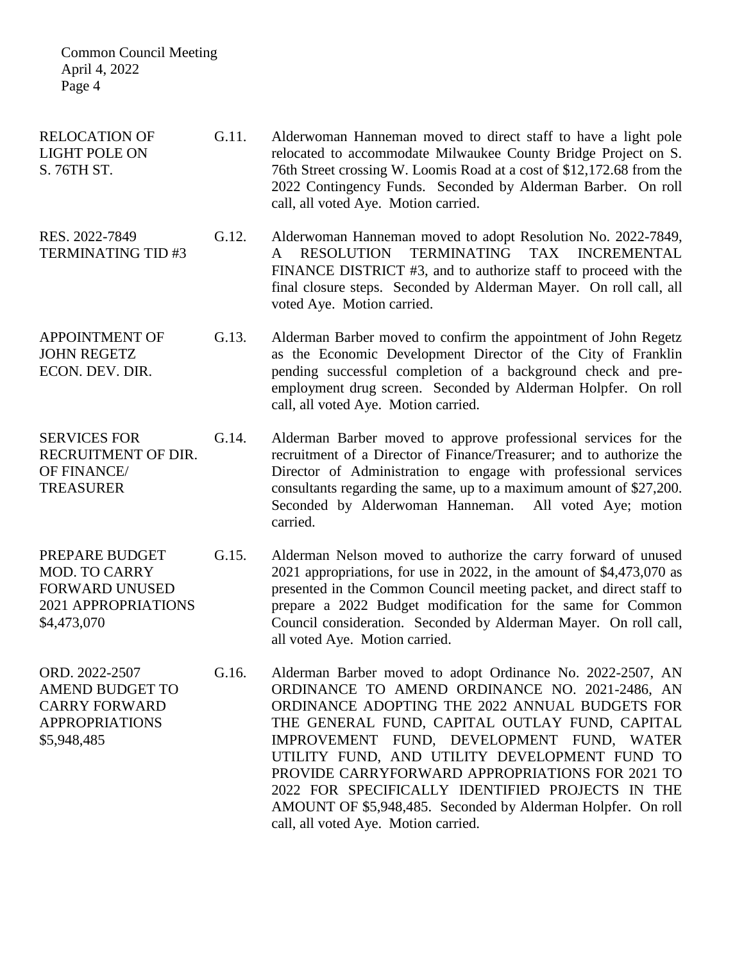| <b>Common Council Meeting</b><br>April 4, 2022<br>Page 4                                                 |       |                                                                                                                                                                                                                                                                                                                                                                                                                                                                                                                               |
|----------------------------------------------------------------------------------------------------------|-------|-------------------------------------------------------------------------------------------------------------------------------------------------------------------------------------------------------------------------------------------------------------------------------------------------------------------------------------------------------------------------------------------------------------------------------------------------------------------------------------------------------------------------------|
| <b>RELOCATION OF</b><br><b>LIGHT POLE ON</b><br>S. 76TH ST.                                              | G.11. | Alderwoman Hanneman moved to direct staff to have a light pole<br>relocated to accommodate Milwaukee County Bridge Project on S.<br>76th Street crossing W. Loomis Road at a cost of \$12,172.68 from the<br>2022 Contingency Funds. Seconded by Alderman Barber. On roll<br>call, all voted Aye. Motion carried.                                                                                                                                                                                                             |
| RES. 2022-7849<br><b>TERMINATING TID#3</b>                                                               | G.12. | Alderwoman Hanneman moved to adopt Resolution No. 2022-7849,<br>TERMINATING<br><b>RESOLUTION</b><br>TAX<br><b>INCREMENTAL</b><br>$\mathsf{A}$<br>FINANCE DISTRICT #3, and to authorize staff to proceed with the<br>final closure steps. Seconded by Alderman Mayer. On roll call, all<br>voted Aye. Motion carried.                                                                                                                                                                                                          |
| <b>APPOINTMENT OF</b><br><b>JOHN REGETZ</b><br>ECON. DEV. DIR.                                           | G.13. | Alderman Barber moved to confirm the appointment of John Regetz<br>as the Economic Development Director of the City of Franklin<br>pending successful completion of a background check and pre-<br>employment drug screen. Seconded by Alderman Holpfer. On roll<br>call, all voted Aye. Motion carried.                                                                                                                                                                                                                      |
| <b>SERVICES FOR</b><br>RECRUITMENT OF DIR.<br>OF FINANCE/<br><b>TREASURER</b>                            | G.14. | Alderman Barber moved to approve professional services for the<br>recruitment of a Director of Finance/Treasurer; and to authorize the<br>Director of Administration to engage with professional services<br>consultants regarding the same, up to a maximum amount of \$27,200.<br>Seconded by Alderwoman Hanneman. All voted Aye; motion<br>carried.                                                                                                                                                                        |
| PREPARE BUDGET<br><b>MOD. TO CARRY</b><br><b>FORWARD UNUSED</b><br>2021 APPROPRIATIONS<br>\$4,473,070    | G.15. | Alderman Nelson moved to authorize the carry forward of unused<br>2021 appropriations, for use in 2022, in the amount of \$4,473,070 as<br>presented in the Common Council meeting packet, and direct staff to<br>prepare a 2022 Budget modification for the same for Common<br>Council consideration. Seconded by Alderman Mayer. On roll call,<br>all voted Aye. Motion carried.                                                                                                                                            |
| ORD. 2022-2507<br><b>AMEND BUDGET TO</b><br><b>CARRY FORWARD</b><br><b>APPROPRIATIONS</b><br>\$5,948,485 | G.16. | Alderman Barber moved to adopt Ordinance No. 2022-2507, AN<br>ORDINANCE TO AMEND ORDINANCE NO. 2021-2486, AN<br>ORDINANCE ADOPTING THE 2022 ANNUAL BUDGETS FOR<br>THE GENERAL FUND, CAPITAL OUTLAY FUND, CAPITAL<br>IMPROVEMENT FUND, DEVELOPMENT FUND, WATER<br>UTILITY FUND, AND UTILITY DEVELOPMENT FUND TO<br>PROVIDE CARRYFORWARD APPROPRIATIONS FOR 2021 TO<br>2022 FOR SPECIFICALLY IDENTIFIED PROJECTS IN THE<br>AMOUNT OF \$5,948,485. Seconded by Alderman Holpfer. On roll<br>call, all voted Aye. Motion carried. |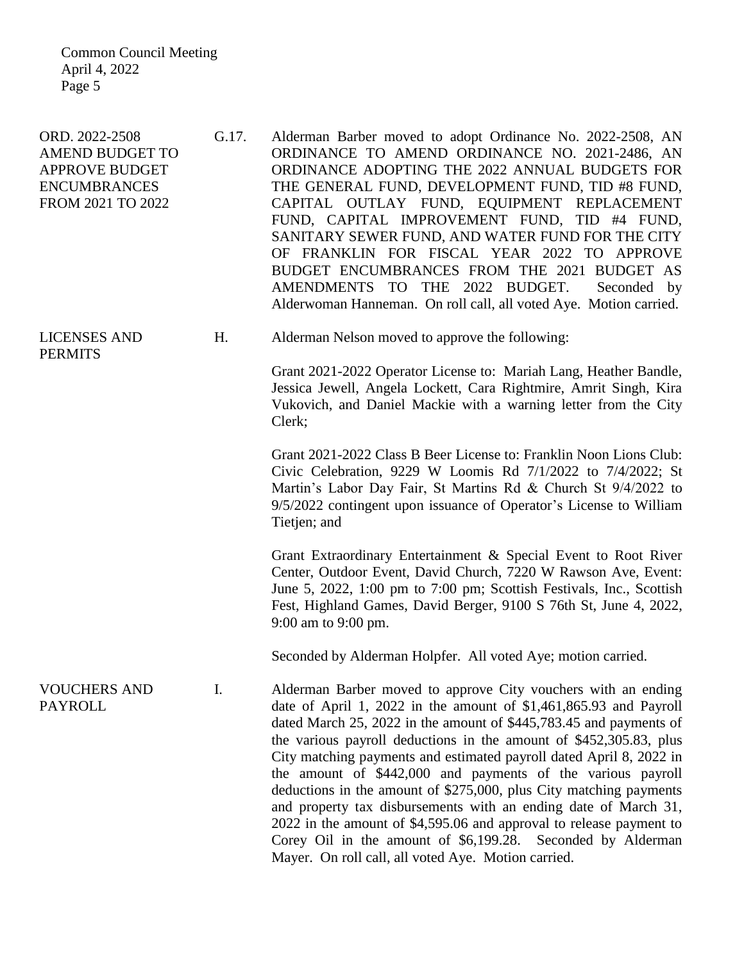Common Council Meeting April 4, 2022 Page 5

ORD. 2022-2508 AMEND BUDGET TO APPROVE BUDGET ENCUMBRANCES FROM 2021 TO 2022 G.17. Alderman Barber moved to adopt Ordinance No. 2022-2508, AN ORDINANCE TO AMEND ORDINANCE NO. 2021-2486, AN ORDINANCE ADOPTING THE 2022 ANNUAL BUDGETS FOR THE GENERAL FUND, DEVELOPMENT FUND, TID #8 FUND, CAPITAL OUTLAY FUND, EQUIPMENT REPLACEMENT FUND, CAPITAL IMPROVEMENT FUND, TID #4 FUND, SANITARY SEWER FUND, AND WATER FUND FOR THE CITY OF FRANKLIN FOR FISCAL YEAR 2022 TO APPROVE BUDGET ENCUMBRANCES FROM THE 2021 BUDGET AS AMENDMENTS TO THE 2022 BUDGET. Seconded by Alderwoman Hanneman. On roll call, all voted Aye. Motion carried. LICENSES AND **PERMITS** H. Alderman Nelson moved to approve the following: Grant 2021-2022 Operator License to: Mariah Lang, Heather Bandle, Jessica Jewell, Angela Lockett, Cara Rightmire, Amrit Singh, Kira Vukovich, and Daniel Mackie with a warning letter from the City Clerk; Grant 2021-2022 Class B Beer License to: Franklin Noon Lions Club: Civic Celebration, 9229 W Loomis Rd 7/1/2022 to 7/4/2022; St Martin's Labor Day Fair, St Martins Rd & Church St 9/4/2022 to 9/5/2022 contingent upon issuance of Operator's License to William Tietjen; and Grant Extraordinary Entertainment & Special Event to Root River Center, Outdoor Event, David Church, 7220 W Rawson Ave, Event: June 5, 2022, 1:00 pm to 7:00 pm; Scottish Festivals, Inc., Scottish Fest, Highland Games, David Berger, 9100 S 76th St, June 4, 2022, 9:00 am to 9:00 pm. Seconded by Alderman Holpfer. All voted Aye; motion carried. VOUCHERS AND PAYROLL I. Alderman Barber moved to approve City vouchers with an ending date of April 1, 2022 in the amount of \$1,461,865.93 and Payroll dated March 25, 2022 in the amount of \$445,783.45 and payments of the various payroll deductions in the amount of \$452,305.83, plus City matching payments and estimated payroll dated April 8, 2022 in the amount of \$442,000 and payments of the various payroll deductions in the amount of \$275,000, plus City matching payments and property tax disbursements with an ending date of March 31, 2022 in the amount of \$4,595.06 and approval to release payment to Corey Oil in the amount of \$6,199.28. Seconded by Alderman

Mayer. On roll call, all voted Aye. Motion carried.